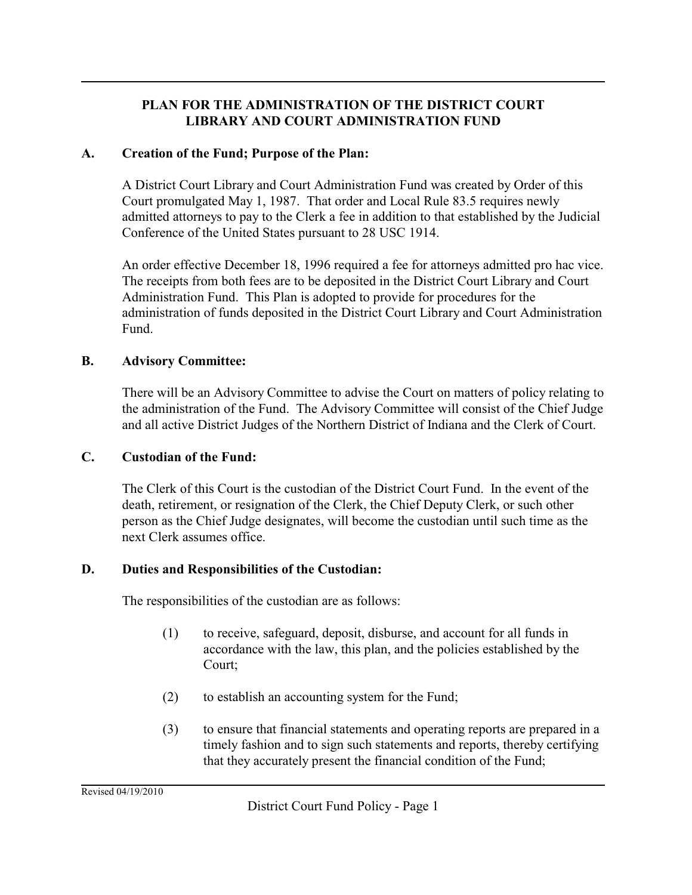### **PLAN FOR THE ADMINISTRATION OF THE DISTRICT COURT LIBRARY AND COURT ADMINISTRATION FUND**

### **A. Creation of the Fund; Purpose of the Plan:**

A District Court Library and Court Administration Fund was created by Order of this Court promulgated May 1, 1987. That order and Local Rule 83.5 requires newly admitted attorneys to pay to the Clerk a fee in addition to that established by the Judicial Conference of the United States pursuant to 28 USC 1914.

An order effective December 18, 1996 required a fee for attorneys admitted pro hac vice. The receipts from both fees are to be deposited in the District Court Library and Court Administration Fund. This Plan is adopted to provide for procedures for the administration of funds deposited in the District Court Library and Court Administration Fund.

#### **B. Advisory Committee:**

There will be an Advisory Committee to advise the Court on matters of policy relating to the administration of the Fund. The Advisory Committee will consist of the Chief Judge and all active District Judges of the Northern District of Indiana and the Clerk of Court.

#### **C. Custodian of the Fund:**

The Clerk of this Court is the custodian of the District Court Fund. In the event of the death, retirement, or resignation of the Clerk, the Chief Deputy Clerk, or such other person as the Chief Judge designates, will become the custodian until such time as the next Clerk assumes office.

### **D. Duties and Responsibilities of the Custodian:**

The responsibilities of the custodian are as follows:

- (1) to receive, safeguard, deposit, disburse, and account for all funds in accordance with the law, this plan, and the policies established by the Court;
- (2) to establish an accounting system for the Fund;
- (3) to ensure that financial statements and operating reports are prepared in a timely fashion and to sign such statements and reports, thereby certifying that they accurately present the financial condition of the Fund;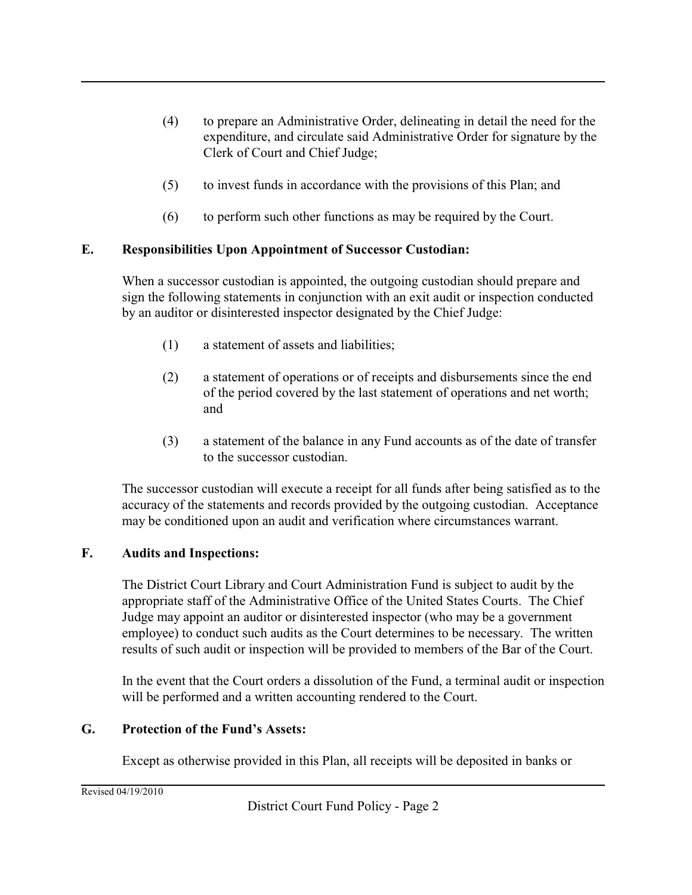- (4) to prepare an Administrative Order, delineating in detail the need for the expenditure, and circulate said Administrative Order for signature by the Clerk of Court and Chief Judge;
- (5) to invest funds in accordance with the provisions of this Plan; and
- (6) to perform such other functions as may be required by the Court.

## **E. Responsibilities Upon Appointment of Successor Custodian:**

When a successor custodian is appointed, the outgoing custodian should prepare and sign the following statements in conjunction with an exit audit or inspection conducted by an auditor or disinterested inspector designated by the Chief Judge:

- (1) a statement of assets and liabilities;
- (2) a statement of operations or of receipts and disbursements since the end of the period covered by the last statement of operations and net worth; and
- (3) a statement of the balance in any Fund accounts as of the date of transfer to the successor custodian.

The successor custodian will execute a receipt for all funds after being satisfied as to the accuracy of the statements and records provided by the outgoing custodian. Acceptance may be conditioned upon an audit and verification where circumstances warrant.

### **F. Audits and Inspections:**

The District Court Library and Court Administration Fund is subject to audit by the appropriate staff of the Administrative Office of the United States Courts. The Chief Judge may appoint an auditor or disinterested inspector (who may be a government employee) to conduct such audits as the Court determines to be necessary. The written results of such audit or inspection will be provided to members of the Bar of the Court.

In the event that the Court orders a dissolution of the Fund, a terminal audit or inspection will be performed and a written accounting rendered to the Court.

# **G. Protection of the Fund's Assets:**

Except as otherwise provided in this Plan, all receipts will be deposited in banks or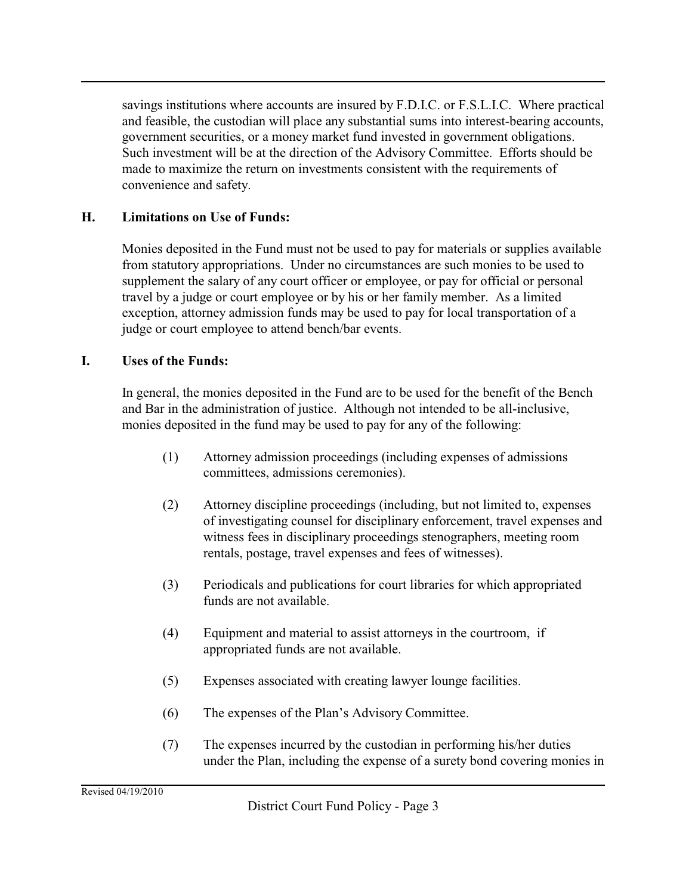savings institutions where accounts are insured by F.D.I.C. or F.S.L.I.C. Where practical and feasible, the custodian will place any substantial sums into interest-bearing accounts, government securities, or a money market fund invested in government obligations. Such investment will be at the direction of the Advisory Committee. Efforts should be made to maximize the return on investments consistent with the requirements of convenience and safety.

## **H. Limitations on Use of Funds:**

Monies deposited in the Fund must not be used to pay for materials or supplies available from statutory appropriations. Under no circumstances are such monies to be used to supplement the salary of any court officer or employee, or pay for official or personal travel by a judge or court employee or by his or her family member. As a limited exception, attorney admission funds may be used to pay for local transportation of a judge or court employee to attend bench/bar events.

### **I. Uses of the Funds:**

In general, the monies deposited in the Fund are to be used for the benefit of the Bench and Bar in the administration of justice. Although not intended to be all-inclusive, monies deposited in the fund may be used to pay for any of the following:

- (1) Attorney admission proceedings (including expenses of admissions committees, admissions ceremonies).
- (2) Attorney discipline proceedings (including, but not limited to, expenses of investigating counsel for disciplinary enforcement, travel expenses and witness fees in disciplinary proceedings stenographers, meeting room rentals, postage, travel expenses and fees of witnesses).
- (3) Periodicals and publications for court libraries for which appropriated funds are not available.
- (4) Equipment and material to assist attorneys in the courtroom, if appropriated funds are not available.
- (5) Expenses associated with creating lawyer lounge facilities.
- (6) The expenses of the Plan's Advisory Committee.
- (7) The expenses incurred by the custodian in performing his/her duties under the Plan, including the expense of a surety bond covering monies in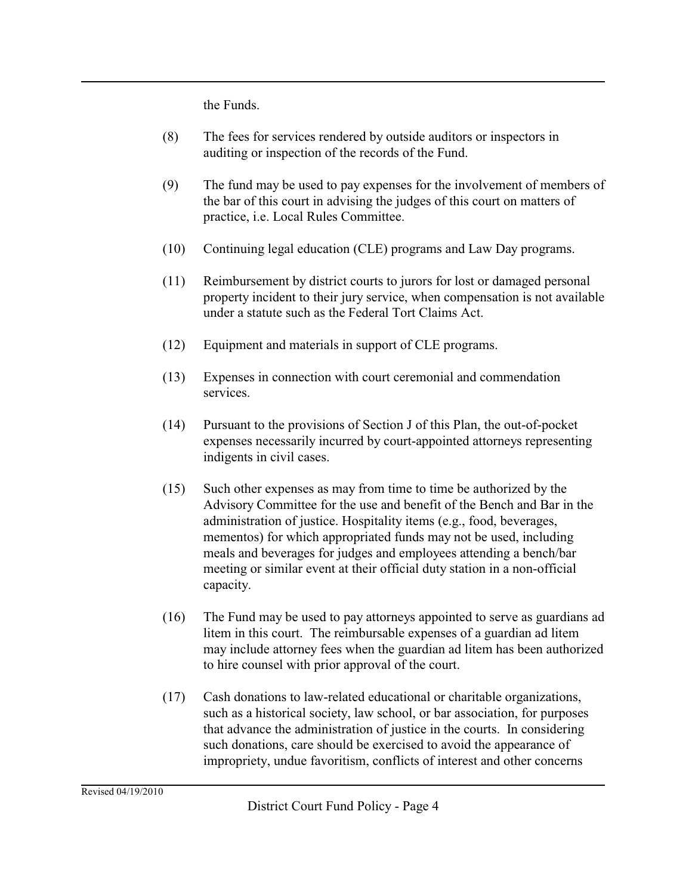the Funds.

- (8) The fees for services rendered by outside auditors or inspectors in auditing or inspection of the records of the Fund.
- (9) The fund may be used to pay expenses for the involvement of members of the bar of this court in advising the judges of this court on matters of practice, i.e. Local Rules Committee.
- (10) Continuing legal education (CLE) programs and Law Day programs.
- (11) Reimbursement by district courts to jurors for lost or damaged personal property incident to their jury service, when compensation is not available under a statute such as the Federal Tort Claims Act.
- (12) Equipment and materials in support of CLE programs.
- (13) Expenses in connection with court ceremonial and commendation services.
- (14) Pursuant to the provisions of Section J of this Plan, the out-of-pocket expenses necessarily incurred by court-appointed attorneys representing indigents in civil cases.
- (15) Such other expenses as may from time to time be authorized by the Advisory Committee for the use and benefit of the Bench and Bar in the administration of justice. Hospitality items (e.g., food, beverages, mementos) for which appropriated funds may not be used, including meals and beverages for judges and employees attending a bench/bar meeting or similar event at their official duty station in a non-official capacity.
- (16) The Fund may be used to pay attorneys appointed to serve as guardians ad litem in this court. The reimbursable expenses of a guardian ad litem may include attorney fees when the guardian ad litem has been authorized to hire counsel with prior approval of the court.
- (17) Cash donations to law-related educational or charitable organizations, such as a historical society, law school, or bar association, for purposes that advance the administration of justice in the courts. In considering such donations, care should be exercised to avoid the appearance of impropriety, undue favoritism, conflicts of interest and other concerns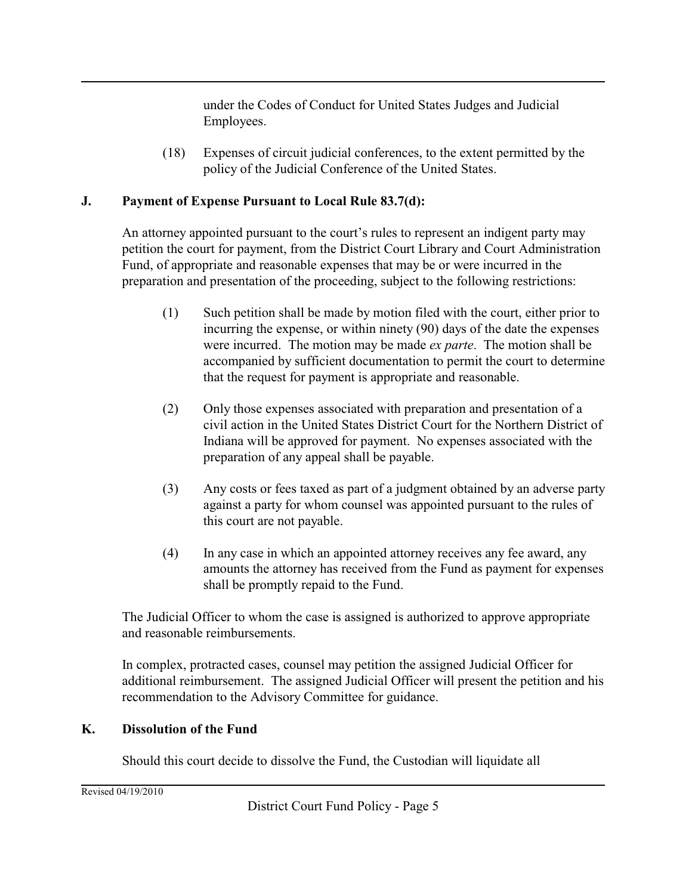under the Codes of Conduct for United States Judges and Judicial Employees.

(18) Expenses of circuit judicial conferences, to the extent permitted by the policy of the Judicial Conference of the United States.

## **J. Payment of Expense Pursuant to Local Rule 83.7(d):**

An attorney appointed pursuant to the court's rules to represent an indigent party may petition the court for payment, from the District Court Library and Court Administration Fund, of appropriate and reasonable expenses that may be or were incurred in the preparation and presentation of the proceeding, subject to the following restrictions:

- (1) Such petition shall be made by motion filed with the court, either prior to incurring the expense, or within ninety (90) days of the date the expenses were incurred. The motion may be made *ex parte*. The motion shall be accompanied by sufficient documentation to permit the court to determine that the request for payment is appropriate and reasonable.
- (2) Only those expenses associated with preparation and presentation of a civil action in the United States District Court for the Northern District of Indiana will be approved for payment. No expenses associated with the preparation of any appeal shall be payable.
- (3) Any costs or fees taxed as part of a judgment obtained by an adverse party against a party for whom counsel was appointed pursuant to the rules of this court are not payable.
- (4) In any case in which an appointed attorney receives any fee award, any amounts the attorney has received from the Fund as payment for expenses shall be promptly repaid to the Fund.

The Judicial Officer to whom the case is assigned is authorized to approve appropriate and reasonable reimbursements.

In complex, protracted cases, counsel may petition the assigned Judicial Officer for additional reimbursement. The assigned Judicial Officer will present the petition and his recommendation to the Advisory Committee for guidance.

# **K. Dissolution of the Fund**

Should this court decide to dissolve the Fund, the Custodian will liquidate all